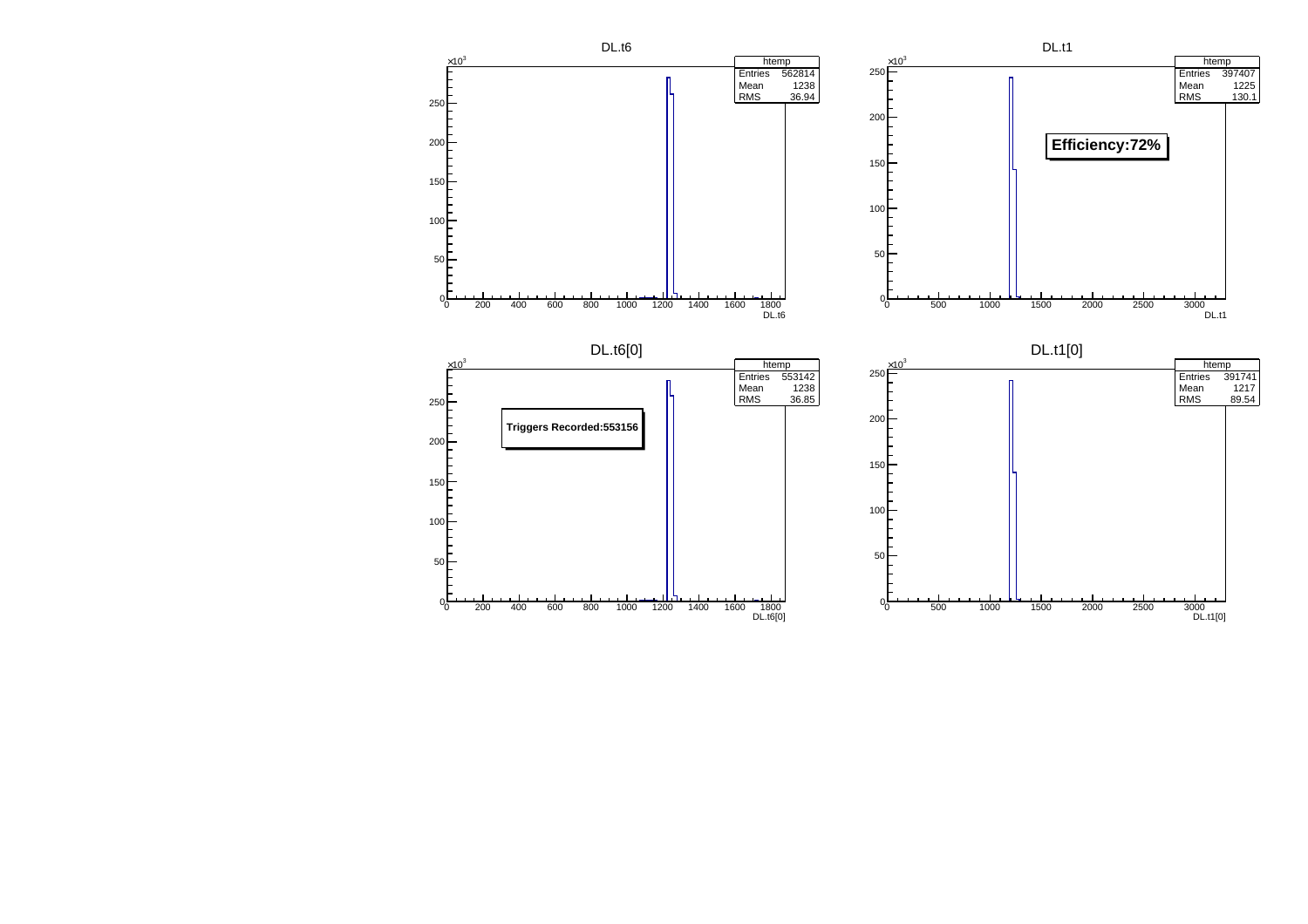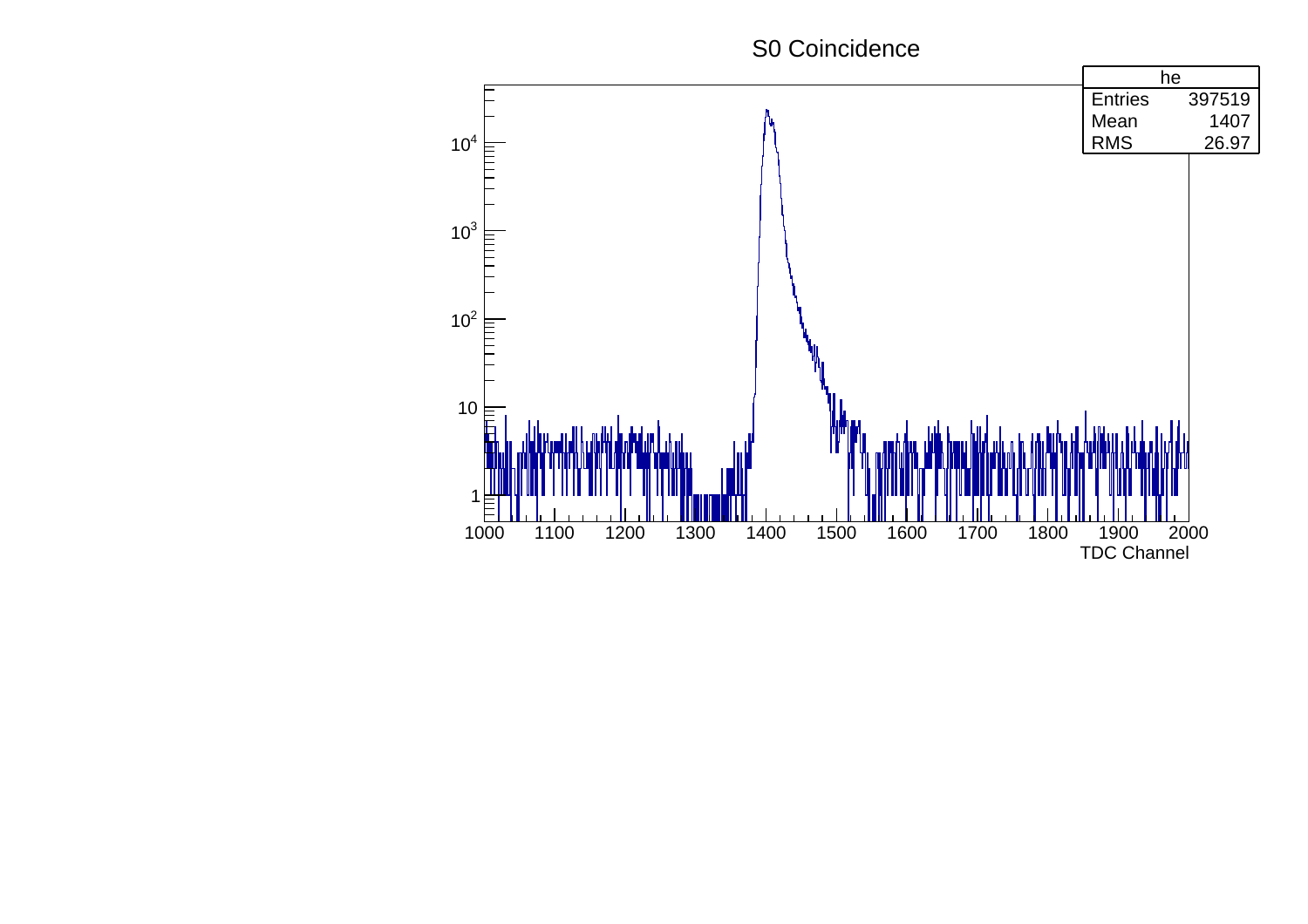## S0 Coincidence

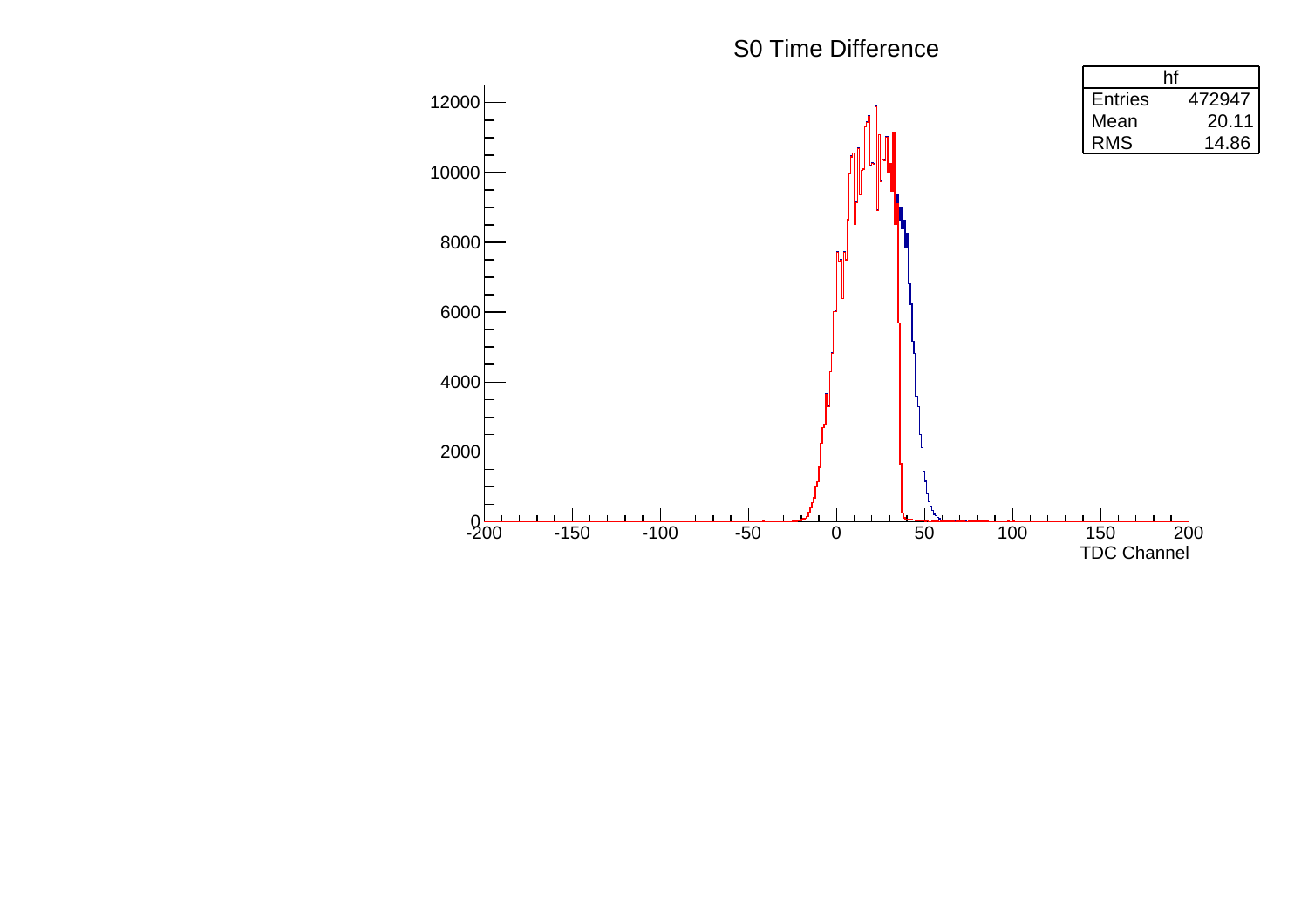## S0 Time Difference